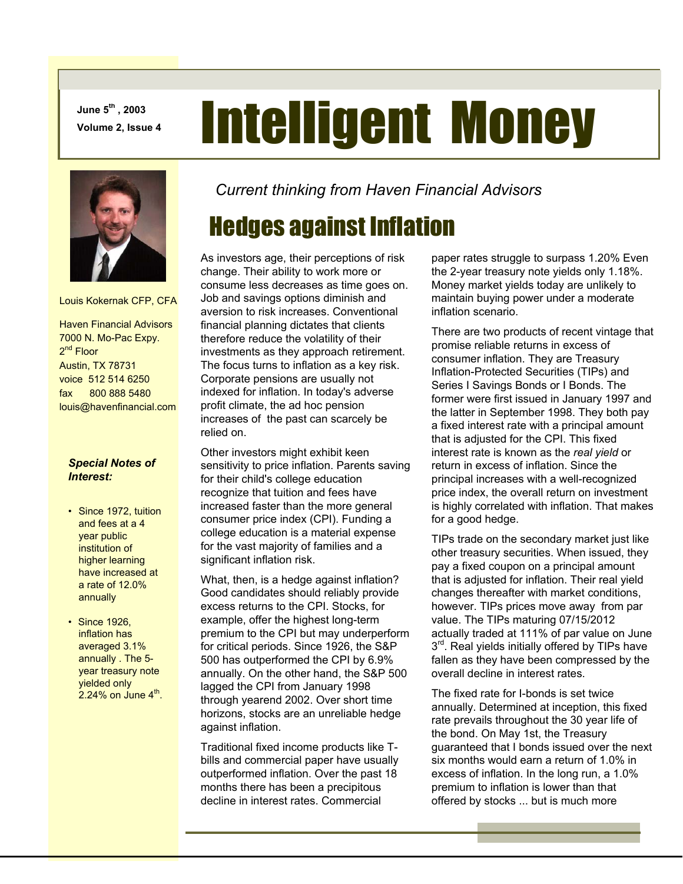**June 5th , 2003** 

# **June 5<sup>th</sup>, 2003**<br>Volume 2, Issue 4 **Intelligent Money**



Louis Kokernak CFP, CFA

 Haven Financial Advisors 7000 N. Mo-Pac Expy. 2<sup>nd</sup> Floor Austin, TX 78731 voice 512 514 6250 fax 800 888 5480 louis@havenfinancial.com

#### *Special Notes of Interest:*

- Since 1972, tuition and fees at a 4 year public institution of higher learning have increased at a rate of 12.0% annually
- Since 1926, inflation has averaged 3.1% annually . The 5 year treasury note yielded only  $2.24\%$  on June  $4^{\text{th}}$ .

*Current thinking from Haven Financial Advisors* 

# Hedges against Inflation

As investors age, their perceptions of risk change. Their ability to work more or consume less decreases as time goes on. Job and savings options diminish and aversion to risk increases. Conventional financial planning dictates that clients therefore reduce the volatility of their investments as they approach retirement. The focus turns to inflation as a key risk. Corporate pensions are usually not indexed for inflation. In today's adverse profit climate, the ad hoc pension increases of the past can scarcely be relied on.

Other investors might exhibit keen sensitivity to price inflation. Parents saving for their child's college education recognize that tuition and fees have increased faster than the more general consumer price index (CPI). Funding a college education is a material expense for the vast majority of families and a significant inflation risk.

What, then, is a hedge against inflation? Good candidates should reliably provide excess returns to the CPI. Stocks, for example, offer the highest long-term premium to the CPI but may underperform for critical periods. Since 1926, the S&P 500 has outperformed the CPI by 6.9% annually. On the other hand, the S&P 500 lagged the CPI from January 1998 through yearend 2002. Over short time horizons, stocks are an unreliable hedge against inflation.

Traditional fixed income products like Tbills and commercial paper have usually outperformed inflation. Over the past 18 months there has been a precipitous decline in interest rates. Commercial

paper rates struggle to surpass 1.20% Even the 2-year treasury note yields only 1.18%. Money market yields today are unlikely to maintain buying power under a moderate inflation scenario.

There are two products of recent vintage that promise reliable returns in excess of consumer inflation. They are Treasury Inflation-Protected Securities (TIPs) and Series I Savings Bonds or I Bonds. The former were first issued in January 1997 and the latter in September 1998. They both pay a fixed interest rate with a principal amount that is adjusted for the CPI. This fixed interest rate is known as the *real yield* or return in excess of inflation. Since the principal increases with a well-recognized price index, the overall return on investment is highly correlated with inflation. That makes for a good hedge.

TIPs trade on the secondary market just like other treasury securities. When issued, they pay a fixed coupon on a principal amount that is adjusted for inflation. Their real yield changes thereafter with market conditions, however. TIPs prices move away from par value. The TIPs maturing 07/15/2012 actually traded at 111% of par value on June  $3<sup>rd</sup>$ . Real yields initially offered by TIPs have fallen as they have been compressed by the overall decline in interest rates.

The fixed rate for I-bonds is set twice annually. Determined at inception, this fixed rate prevails throughout the 30 year life of the bond. On May 1st, the Treasury guaranteed that I bonds issued over the next six months would earn a return of 1.0% in excess of inflation. In the long run, a 1.0% premium to inflation is lower than that offered by stocks ... but is much more